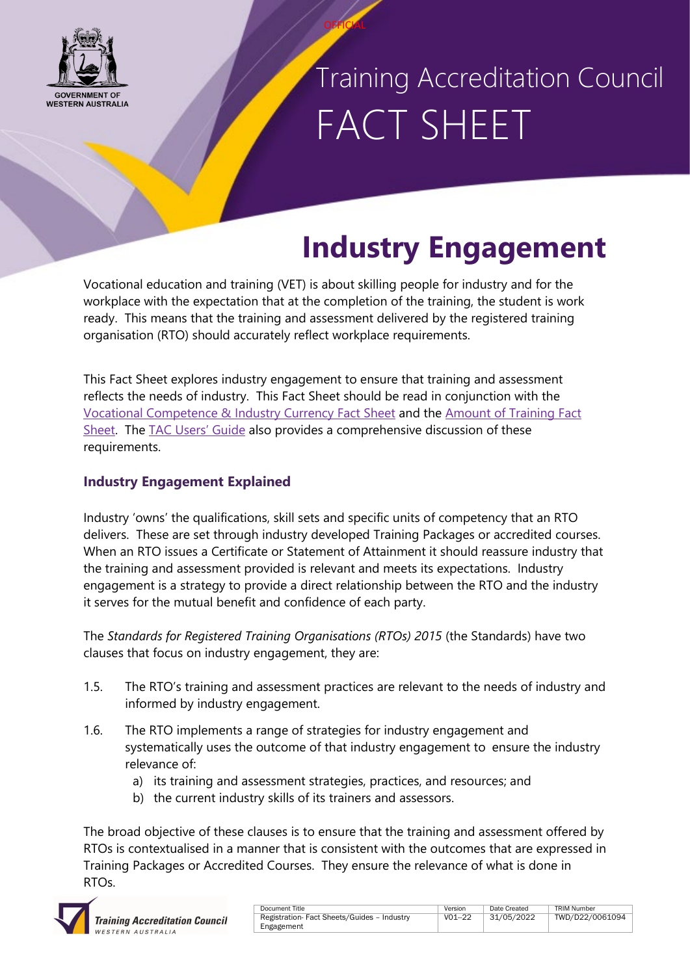

### Training Accreditation Council FACT SHEET

### **Industry Engagement**

Vocational education and training (VET) is about skilling people for industry and for the workplace with the expectation that at the completion of the training, the student is work ready. This means that the training and assessment delivered by the registered training organisation (RTO) should accurately reflect workplace requirements.

**OFFICIAL** 

This Fact Sheet explores industry engagement to ensure that training and assessment reflects the needs of industry. This Fact Sheet should be read in conjunction with the [Vocational Competence & Industry Currency Fact Sheet](http://www.tac.wa.gov.au/StandardsRTOs2015/Pages/Fact%20Sheets/Fact-sheets.aspx) and the [Amount of Training Fact](http://www.tac.wa.gov.au/StandardsRTOs2015/Pages/Fact%20Sheets/Fact-sheets.aspx)  [Sheet.](http://www.tac.wa.gov.au/StandardsRTOs2015/Pages/Fact%20Sheets/Fact-sheets.aspx) The [TAC Users' Guide](https://tac.wa.gov.au/StandardsRTOs2015/Pages/default.aspx) also provides a comprehensive discussion of these requirements.

#### **Industry Engagement Explained**

Industry 'owns' the qualifications, skill sets and specific units of competency that an RTO delivers. These are set through industry developed Training Packages or accredited courses. When an RTO issues a Certificate or Statement of Attainment it should reassure industry that the training and assessment provided is relevant and meets its expectations. Industry engagement is a strategy to provide a direct relationship between the RTO and the industry it serves for the mutual benefit and confidence of each party.

The *Standards for Registered Training Organisations (RTOs) 2015* (the Standards) have two clauses that focus on industry engagement, they are:

- 1.5. The RTO's training and assessment practices are relevant to the needs of industry and informed by industry engagement.
- 1.6. The RTO implements a range of strategies for industry engagement and systematically uses the outcome of that industry engagement to ensure the industry relevance of:
	- a) its training and assessment strategies, practices, and resources; and
	- b) the current industry skills of its trainers and assessors.

The broad objective of these clauses is to ensure that the training and assessment offered by RTOs is contextualised in a manner that is consistent with the outcomes that are expressed in Training Packages or Accredited Courses. They ensure the relevance of what is done in RTOs.



| Document Title                              | Version    | Date Created | <b>TRIM Number</b> |
|---------------------------------------------|------------|--------------|--------------------|
| Registration- Fact Sheets/Guides - Industry | $V01 - 22$ | 31/05/2022   | TWD/D22/0061094    |
| Engagement                                  |            |              |                    |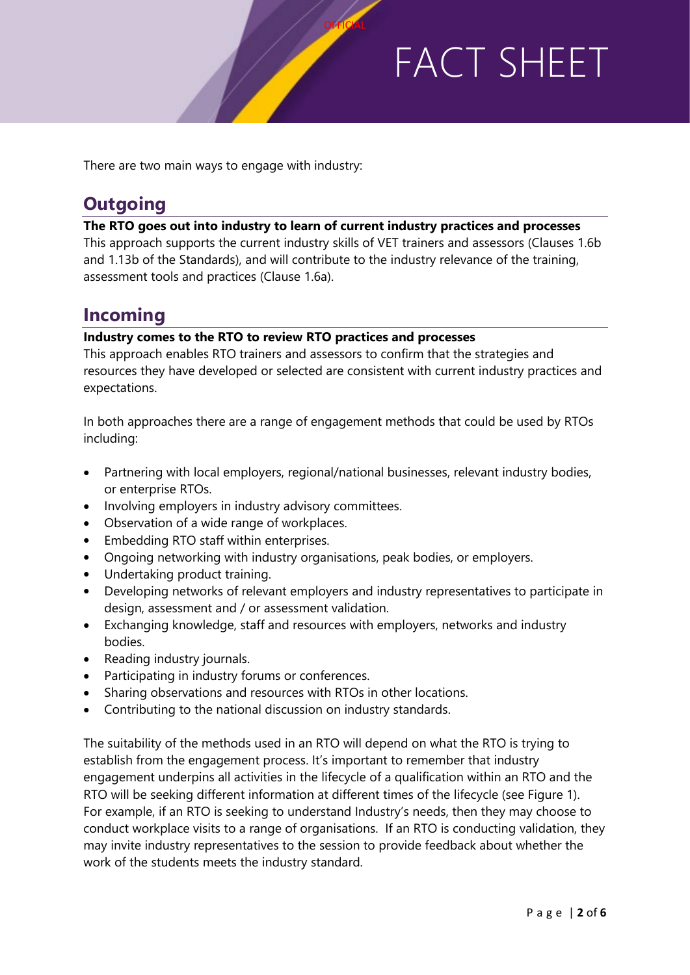There are two main ways to engage with industry:

### **Outgoing**

#### **The RTO goes out into industry to learn of current industry practices and processes**

This approach supports the current industry skills of VET trainers and assessors (Clauses 1.6b and 1.13b of the Standards), and will contribute to the industry relevance of the training, assessment tools and practices (Clause 1.6a).

**OFFICIAL** 

### **Incoming**

#### **Industry comes to the RTO to review RTO practices and processes**

This approach enables RTO trainers and assessors to confirm that the strategies and resources they have developed or selected are consistent with current industry practices and expectations.

In both approaches there are a range of engagement methods that could be used by RTOs including:

- Partnering with local employers, regional/national businesses, relevant industry bodies, or enterprise RTOs.
- Involving employers in industry advisory committees.
- Observation of a wide range of workplaces.
- Embedding RTO staff within enterprises.
- Ongoing networking with industry organisations, peak bodies, or employers.
- Undertaking product training.
- Developing networks of relevant employers and industry representatives to participate in design, assessment and / or assessment validation.
- Exchanging knowledge, staff and resources with employers, networks and industry bodies.
- Reading industry journals.
- Participating in industry forums or conferences.
- Sharing observations and resources with RTOs in other locations.
- Contributing to the national discussion on industry standards.

The suitability of the methods used in an RTO will depend on what the RTO is trying to establish from the engagement process. It's important to remember that industry engagement underpins all activities in the lifecycle of a qualification within an RTO and the RTO will be seeking different information at different times of the lifecycle (see Figure 1). For example, if an RTO is seeking to understand Industry's needs, then they may choose to conduct workplace visits to a range of organisations. If an RTO is conducting validation, they may invite industry representatives to the session to provide feedback about whether the work of the students meets the industry standard.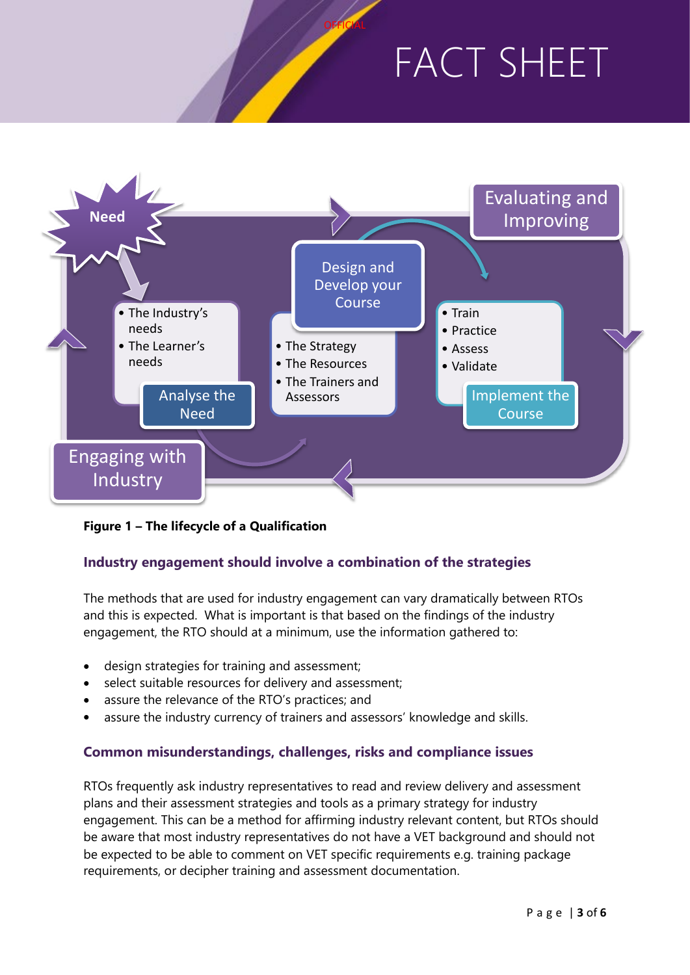

**OFFICIAL** 

**Figure 1 – The lifecycle of a Qualification**

#### **Industry engagement should involve a combination of the strategies**

The methods that are used for industry engagement can vary dramatically between RTOs and this is expected. What is important is that based on the findings of the industry engagement, the RTO should at a minimum, use the information gathered to:

- design strategies for training and assessment;
- select suitable resources for delivery and assessment;
- assure the relevance of the RTO's practices; and
- assure the industry currency of trainers and assessors' knowledge and skills.

#### **Common misunderstandings, challenges, risks and compliance issues**

RTOs frequently ask industry representatives to read and review delivery and assessment plans and their assessment strategies and tools as a primary strategy for industry engagement. This can be a method for affirming industry relevant content, but RTOs should be aware that most industry representatives do not have a VET background and should not be expected to be able to comment on VET specific requirements e.g. training package requirements, or decipher training and assessment documentation.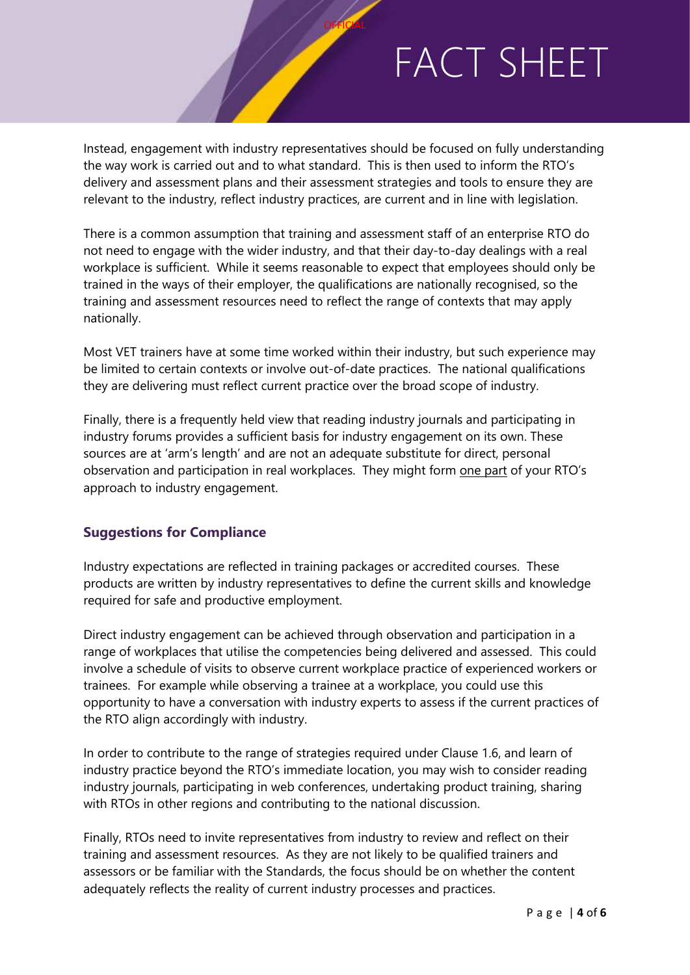Instead, engagement with industry representatives should be focused on fully understanding the way work is carried out and to what standard. This is then used to inform the RTO's delivery and assessment plans and their assessment strategies and tools to ensure they are relevant to the industry, reflect industry practices, are current and in line with legislation.

**OFFICIAL** 

There is a common assumption that training and assessment staff of an enterprise RTO do not need to engage with the wider industry, and that their day-to-day dealings with a real workplace is sufficient. While it seems reasonable to expect that employees should only be trained in the ways of their employer, the qualifications are nationally recognised, so the training and assessment resources need to reflect the range of contexts that may apply nationally.

Most VET trainers have at some time worked within their industry, but such experience may be limited to certain contexts or involve out-of-date practices. The national qualifications they are delivering must reflect current practice over the broad scope of industry.

Finally, there is a frequently held view that reading industry journals and participating in industry forums provides a sufficient basis for industry engagement on its own. These sources are at 'arm's length' and are not an adequate substitute for direct, personal observation and participation in real workplaces. They might form one part of your RTO's approach to industry engagement.

#### **Suggestions for Compliance**

Industry expectations are reflected in training packages or accredited courses. These products are written by industry representatives to define the current skills and knowledge required for safe and productive employment.

Direct industry engagement can be achieved through observation and participation in a range of workplaces that utilise the competencies being delivered and assessed. This could involve a schedule of visits to observe current workplace practice of experienced workers or trainees. For example while observing a trainee at a workplace, you could use this opportunity to have a conversation with industry experts to assess if the current practices of the RTO align accordingly with industry.

In order to contribute to the range of strategies required under Clause 1.6, and learn of industry practice beyond the RTO's immediate location, you may wish to consider reading industry journals, participating in web conferences, undertaking product training, sharing with RTOs in other regions and contributing to the national discussion.

Finally, RTOs need to invite representatives from industry to review and reflect on their training and assessment resources. As they are not likely to be qualified trainers and assessors or be familiar with the Standards, the focus should be on whether the content adequately reflects the reality of current industry processes and practices.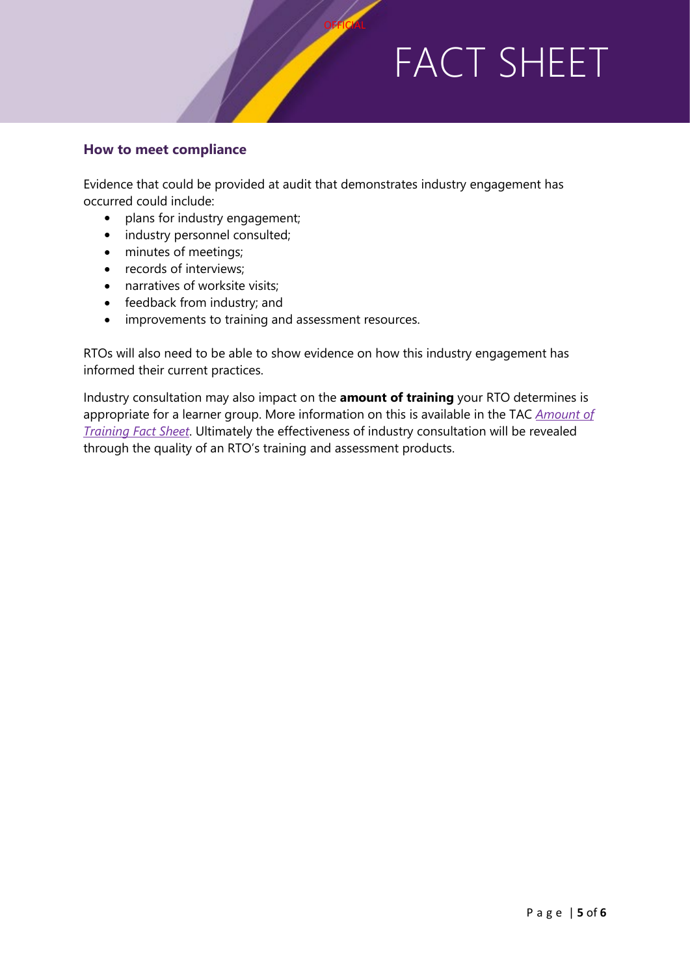#### **How to meet compliance**

Evidence that could be provided at audit that demonstrates industry engagement has occurred could include:

**OFFICIAL** 

- plans for industry engagement;
- industry personnel consulted;
- minutes of meetings;
- records of interviews;
- narratives of worksite visits;
- feedback from industry; and
- improvements to training and assessment resources.

RTOs will also need to be able to show evidence on how this industry engagement has informed their current practices.

Industry consultation may also impact on the **amount of training** your RTO determines is appropriate for a learner group. More information on this is available in the TAC *[Amount of](http://www.tac.wa.gov.au/StandardsRTOs2015/Pages/Fact%20Sheets/Fact-sheets.aspx)  [Training Fact Sheet](http://www.tac.wa.gov.au/StandardsRTOs2015/Pages/Fact%20Sheets/Fact-sheets.aspx)*. Ultimately the effectiveness of industry consultation will be revealed through the quality of an RTO's training and assessment products.